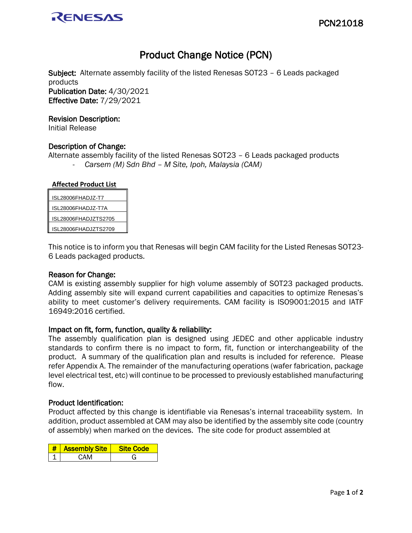

# Product Change Notice (PCN)

Subject: Alternate assembly facility of the listed Renesas SOT23 – 6 Leads packaged products Publication Date: 4/30/2021 Effective Date: 7/29/2021

#### Revision Description:

Initial Release

### Description of Change:

Alternate assembly facility of the listed Renesas SOT23 – 6 Leads packaged products - *Carsem (M) Sdn Bhd – M Site, Ipoh, Malaysia (CAM)* 

#### **Affected Product List**

| ISL28006FHADJZ-T7    |
|----------------------|
| ISL28006FHADJZ-T7A   |
| ISL28006FHADJZTS2705 |
| ISL28006FHADJZTS2709 |
|                      |

This notice is to inform you that Renesas will begin CAM facility for the Listed Renesas SOT23- 6 Leads packaged products.

#### Reason for Change:

CAM is existing assembly supplier for high volume assembly of SOT23 packaged products. Adding assembly site will expand current capabilities and capacities to optimize Renesas's ability to meet customer's delivery requirements. CAM facility is ISO9001:2015 and IATF 16949:2016 certified.

#### Impact on fit, form, function, quality & reliability:

The assembly qualification plan is designed using JEDEC and other applicable industry standards to confirm there is no impact to form, fit, function or interchangeability of the product. A summary of the qualification plan and results is included for reference. Please refer Appendix A. The remainder of the manufacturing operations (wafer fabrication, package level electrical test, etc) will continue to be processed to previously established manufacturing flow.

#### Product Identification:

Product affected by this change is identifiable via Renesas's internal traceability system. In addition, product assembled at CAM may also be identified by the assembly site code (country of assembly) when marked on the devices. The site code for product assembled at

| <b>Assembly Site</b> | Site Code |
|----------------------|-----------|
| CAM                  |           |